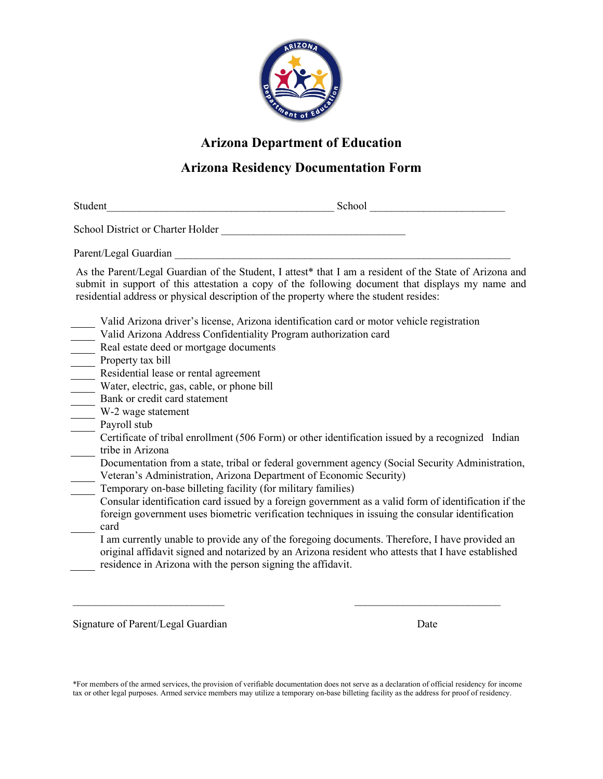

## **Arizona Department of Education**

## **Arizona Residency Documentation Form**

Student and the student of the student school  $\sim$  School  $\sim$ 

School District or Charter Holder

Parent/Legal Guardian

As the Parent/Legal Guardian of the Student, I attest\* that I am a resident of the State of Arizona and submit in support of this attestation a copy of the following document that displays my name and residential address or physical description of the property where the student resides:

- Valid Arizona driver's license, Arizona identification card or motor vehicle registration
- Valid Arizona Address Confidentiality Program authorization card
- Real estate deed or mortgage documents
- Property tax bill
- Residential lease or rental agreement
- Water, electric, gas, cable, or phone bill
- Bank or credit card statement
- W-2 wage statement
- Payroll stub
- Certificate of tribal enrollment (506 Form) or other identification issued by a recognized Indian tribe in Arizona
- Documentation from a state, tribal or federal government agency (Social Security Administration, Veteran's Administration, Arizona Department of Economic Security)
- Temporary on-base billeting facility (for military families)

Consular identification card issued by a foreign government as a valid form of identification if the foreign government uses biometric verification techniques in issuing the consular identification card

I am currently unable to provide any of the foregoing documents. Therefore, I have provided an original affidavit signed and notarized by an Arizona resident who attests that I have established residence in Arizona with the person signing the affidavit.

Signature of Parent/Legal Guardian Date Date Date Date

\*For members of the armed services, the provision of verifiable documentation does not serve as a declaration of official residency for income tax or other legal purposes. Armed service members may utilize a temporary on-base billeting facility as the address for proof of residency.

 $\mathcal{L}_\text{max}$  , and the contract of the contract of the contract of the contract of the contract of the contract of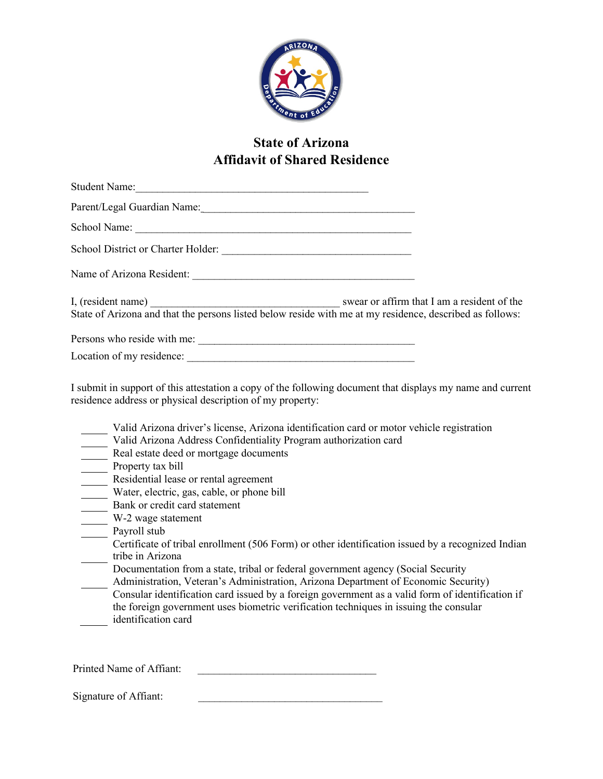

## **State of Arizona Affidavit of Shared Residence**

| State of Arizona and that the persons listed below reside with me at my residence, described as follows: |  |
|----------------------------------------------------------------------------------------------------------|--|
|                                                                                                          |  |
|                                                                                                          |  |
|                                                                                                          |  |

I submit in support of this attestation a copy of the following document that displays my name and current residence address or physical description of my property:

- Valid Arizona driver's license, Arizona identification card or motor vehicle registration
- Valid Arizona Address Confidentiality Program authorization card
- Real estate deed or mortgage documents
- Property tax bill
- Residential lease or rental agreement
- Water, electric, gas, cable, or phone bill
- Bank or credit card statement
- W-2 wage statement
- Payroll stub
- Certificate of tribal enrollment (506 Form) or other identification issued by a recognized Indian tribe in Arizona
- Documentation from a state, tribal or federal government agency (Social Security
- Administration, Veteran's Administration, Arizona Department of Economic Security) Consular identification card issued by a foreign government as a valid form of identification if the foreign government uses biometric verification techniques in issuing the consular identification card

Printed Name of Affiant:

Signature of Affiant: